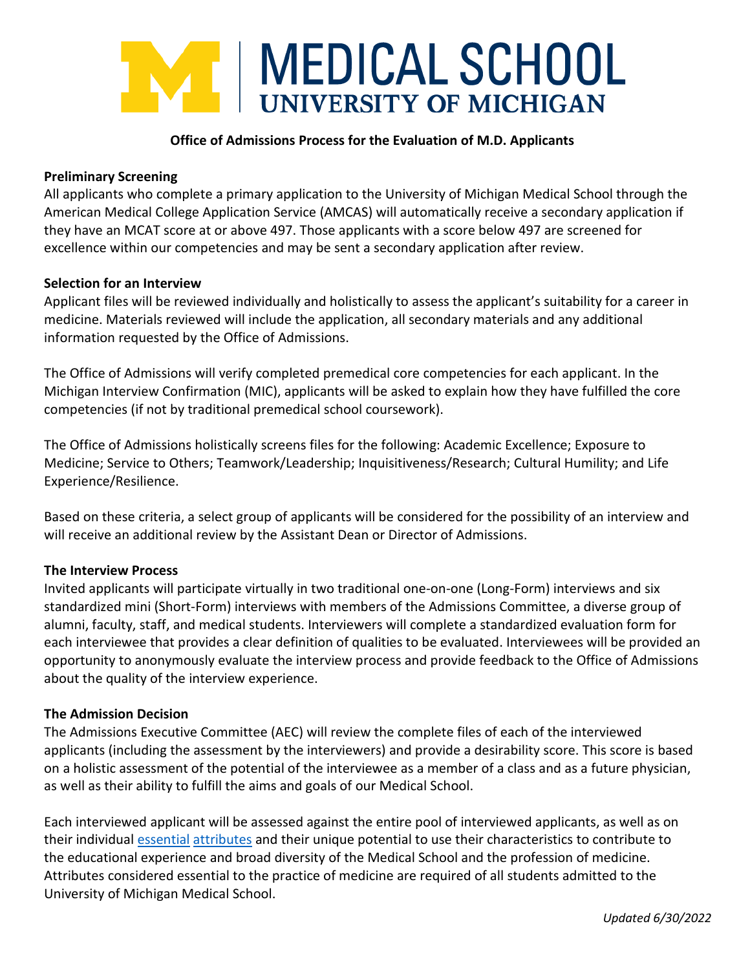# T | MEDICAL SCHOOL **UNIVERSITY OF MICHIGAN**

## **Office of Admissions Process for the Evaluation of M.D. Applicants**

#### **Preliminary Screening**

All applicants who complete a primary application to the University of Michigan Medical School through the American Medical College Application Service (AMCAS) will automatically receive a secondary application if they have an MCAT score at or above 497. Those applicants with a score below 497 are screened for excellence within our competencies and may be sent a secondary application after review.

#### **Selection for an Interview**

Applicant files will be reviewed individually and holistically to assess the applicant's suitability for a career in medicine. Materials reviewed will include the application, all secondary materials and any additional information requested by the Office of Admissions.

The Office of Admissions will verify completed premedical core competencies for each applicant. In the Michigan Interview Confirmation (MIC), applicants will be asked to explain how they have fulfilled the core competencies (if not by traditional premedical school coursework).

The Office of Admissions holistically screens files for the following: Academic Excellence; Exposure to Medicine; Service to Others; Teamwork/Leadership; Inquisitiveness/Research; Cultural Humility; and Life Experience/Resilience.

Based on these criteria, a select group of applicants will be considered for the possibility of an interview and will receive an additional review by the Assistant Dean or Director of Admissions.

#### **The Interview Process**

Invited applicants will participate virtually in two traditional one-on-one (Long-Form) interviews and six standardized mini (Short-Form) interviews with members of the Admissions Committee, a diverse group of alumni, faculty, staff, and medical students. Interviewers will complete a standardized evaluation form for each interviewee that provides a clear definition of qualities to be evaluated. Interviewees will be provided an opportunity to anonymously evaluate the interview process and provide feedback to the Office of Admissions about the quality of the interview experience.

## **The Admission Decision**

The Admissions Executive Committee (AEC) will review the complete files of each of the interviewed applicants (including the assessment by the interviewers) and provide a desirability score. This score is based on a holistic assessment of the potential of the interviewee as a member of a class and as a future physician, as well as their ability to fulfill the aims and goals of our Medical School.

Each interviewed applicant will be assessed against the entire pool of interviewed applicants, as well as on their individual [essential](https://medicine.umich.edu/medschool/education/md-program/md-admissions/requirements) [attributes](https://medicine.umich.edu/medschool/education/md-program/md-admissions/requirements) and their unique potential to use their characteristics to contribute to the educational experience and broad diversity of the Medical School and the profession of medicine. Attributes considered essential to the practice of medicine are required of all students admitted to the University of Michigan Medical School.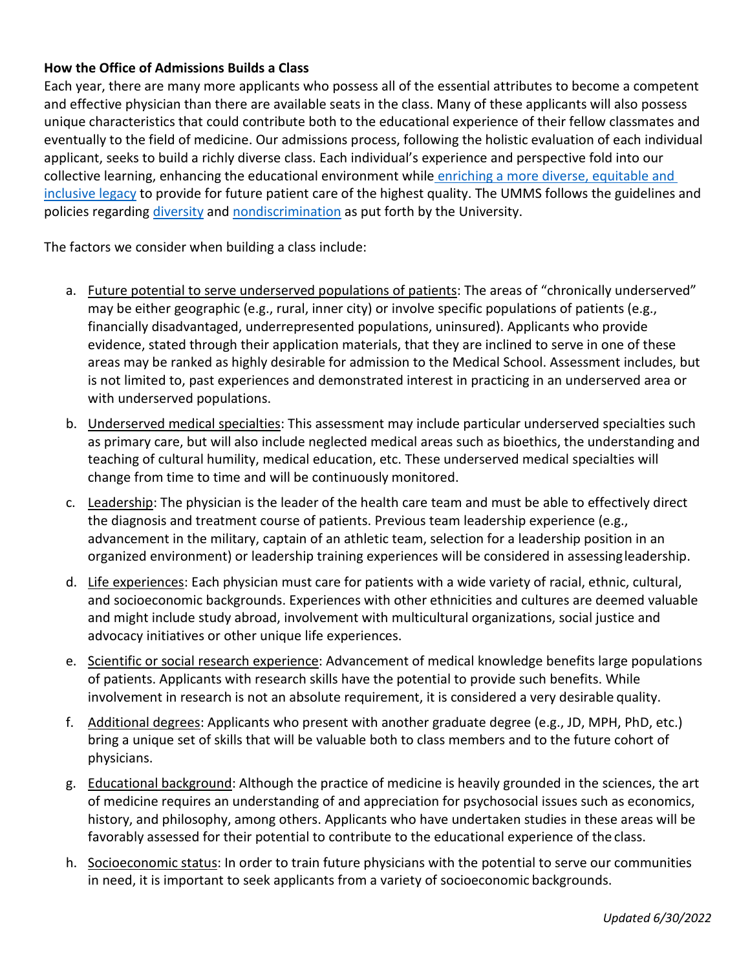# **How the Office of Admissions Builds a Class**

Each year, there are many more applicants who possess all of the essential attributes to become a competent and effective physician than there are available seats in the class. Many of these applicants will also possess unique characteristics that could contribute both to the educational experience of their fellow classmates and eventually to the field of medicine. Our admissions process, following the holistic evaluation of each individual applicant, seeks to build a richly diverse class. Each individual's experience and perspective fold into our collective learning, enhancing the educational environment while [enriching a more diverse, equitable and](https://diversity.umich.edu/about/defining-dei/)  [inclusive legacy](https://diversity.umich.edu/about/defining-dei/) to provide for future patient care of the highest quality. The UMMS follows the guidelines and policies regarding [diversity](https://diversity.umich.edu/about/defining-dei/) and [nondiscrimination](http://provost.umich.edu/faculty/handbook/2/2.B.html#2.B.1) as put forth by the University.

The factors we consider when building a class include:

- a. Future potential to serve underserved populations of patients: The areas of "chronically underserved" may be either geographic (e.g., rural, inner city) or involve specific populations of patients (e.g., financially disadvantaged, underrepresented populations, uninsured). Applicants who provide evidence, stated through their application materials, that they are inclined to serve in one of these areas may be ranked as highly desirable for admission to the Medical School. Assessment includes, but is not limited to, past experiences and demonstrated interest in practicing in an underserved area or with underserved populations.
- b. Underserved medical specialties: This assessment may include particular underserved specialties such as primary care, but will also include neglected medical areas such as bioethics, the understanding and teaching of cultural humility, medical education, etc. These underserved medical specialties will change from time to time and will be continuously monitored.
- c. Leadership: The physician is the leader of the health care team and must be able to effectively direct the diagnosis and treatment course of patients. Previous team leadership experience (e.g., advancement in the military, captain of an athletic team, selection for a leadership position in an organized environment) or leadership training experiences will be considered in assessingleadership.
- d. Life experiences: Each physician must care for patients with a wide variety of racial, ethnic, cultural, and socioeconomic backgrounds. Experiences with other ethnicities and cultures are deemed valuable and might include study abroad, involvement with multicultural organizations, social justice and advocacy initiatives or other unique life experiences.
- e. Scientific or social research experience: Advancement of medical knowledge benefits large populations of patients. Applicants with research skills have the potential to provide such benefits. While involvement in research is not an absolute requirement, it is considered a very desirable quality.
- f. Additional degrees: Applicants who present with another graduate degree (e.g., JD, MPH, PhD, etc.) bring a unique set of skills that will be valuable both to class members and to the future cohort of physicians.
- g. Educational background: Although the practice of medicine is heavily grounded in the sciences, the art of medicine requires an understanding of and appreciation for psychosocial issues such as economics, history, and philosophy, among others. Applicants who have undertaken studies in these areas will be favorably assessed for their potential to contribute to the educational experience of the class.
- h. Socioeconomic status: In order to train future physicians with the potential to serve our communities in need, it is important to seek applicants from a variety of socioeconomic backgrounds.